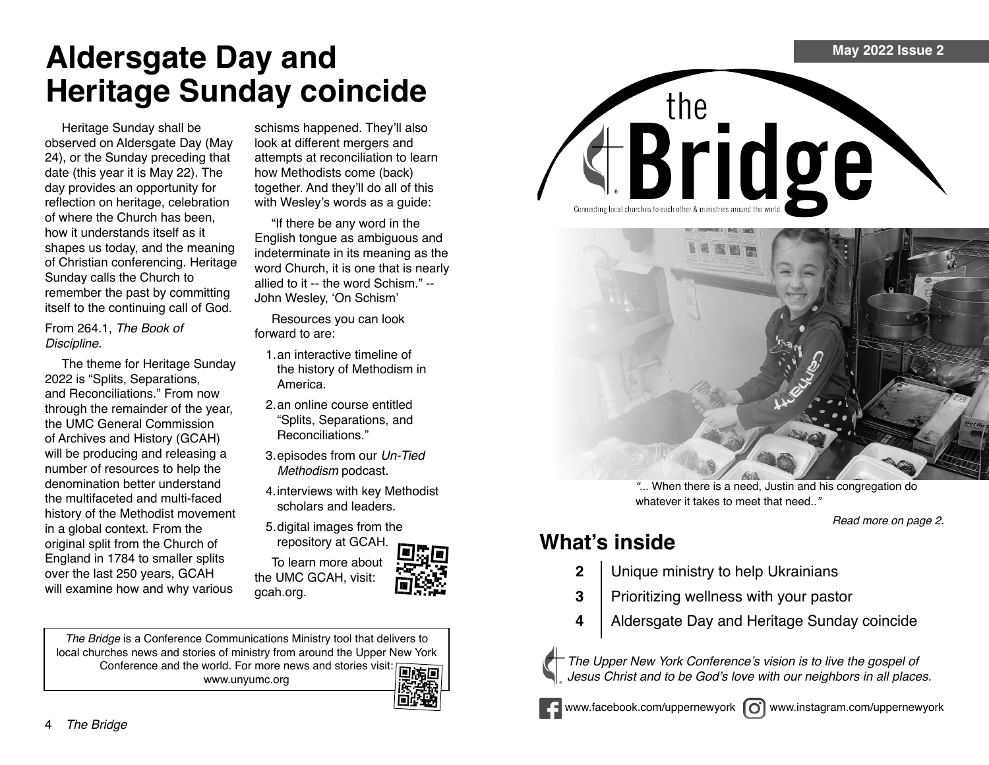# **Aldersgate Day and Heritage Sunday coincide**

Heritage Sunday shall be observed on Aldersgate Day (May 24), or the Sunday preceding that date (this year it is May 22). The day provides an opportunity for reflection on heritage, celebration of where the Church has been, how it understands itself as it shapes us today, and the meaning of Christian conferencing. Heritage Sunday calls the Church to remember the past by committing itself to the continuing call of God.

From 264.1, *The Book of*  Discipline.

The theme for Heritage Sunday 2022 is "Splits, Separations, and Reconciliations." From now through the remainder of the year, the UMC General Commission of Archives and History (GCAH) will be producing and releasing a number of resources to help the denomination better understand the multifaceted and multi-faced history of the Methodist movement in a global context. From the original split from the Church of England in 1784 to smaller splits over the last 250 years, GCAH will examine how and why various

schisms happened. They'll also look at different mergers and attempts at reconciliation to learn how Methodists come (back) together. And they'll do all of this with Wesley's words as a guide:

"If there be any word in the English tongue as ambiguous and indeterminate in its meaning as the word Church, it is one that is nearly allied to it -- the word Schism." -- John Wesley, 'On Schism'

Resources you can look forward to are:

- 1.an interactive timeline of the history of Methodism in America.
- 2.an online course entitled "Splits, Separations, and Reconciliations."
- 3.episodes from our *Un-Tied*  Methodism podcast.
- 4.interviews with key Methodist scholars and leaders.
- 5.digital images from the repository at GCAH.

To learn more about the UMC GCAH, visit: gcah.org.



*The Bridge* is a Conference Communications Ministry tool that delivers to local churches news and stories of ministry from around the Upper New York Conference and the world. For more news and stories visit: www.unyumc.org







*"*... When there is a need, Justin and his congregation do whatever it takes to meet that need.."

Read more on page 2.

### **What's inside**

- **2** Unique ministry to help Ukrainians
- **3** Prioritizing wellness with your pastor
- **4** Aldersgate Day and Heritage Sunday coincide



The Upper New York Conference's vision is to live the gospel of Jesus Christ and to be God's love with our neighbors in all places.



www.facebook.com/uppernewyork  $\omega$  www.instagram.com/uppernewyork